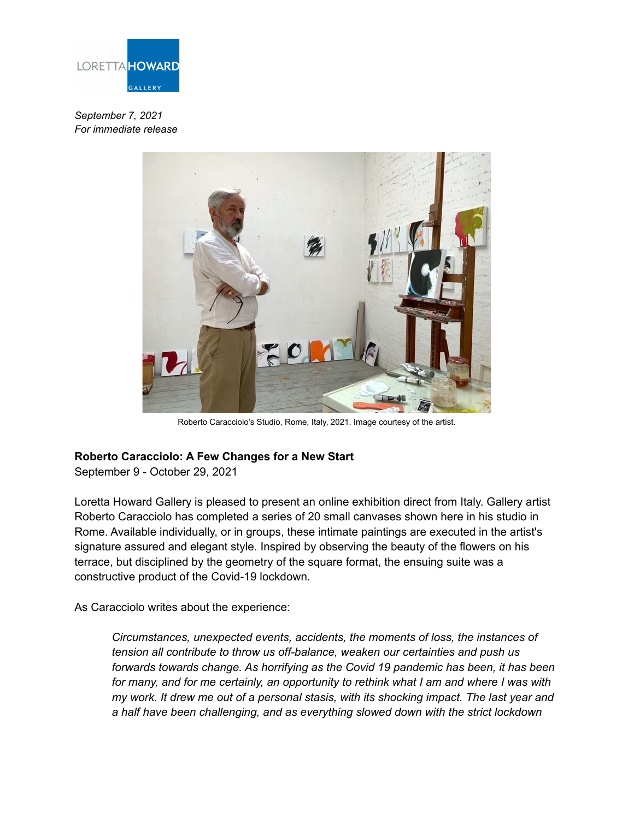

*September 7, 2021 For immediate release*



Roberto Caracciolo's Studio, Rome, Italy, 2021. Image courtesy of the artist.

## **Roberto Caracciolo: A Few Changes for a New Start**

September 9 - October 29, 2021

Loretta Howard Gallery is pleased to present an online exhibition direct from Italy. Gallery artist Roberto Caracciolo has completed a series of 20 small canvases shown here in his studio in Rome. Available individually, or in groups, these intimate paintings are executed in the artist's signature assured and elegant style. Inspired by observing the beauty of the flowers on his terrace, but disciplined by the geometry of the square format, the ensuing suite was a constructive product of the Covid-19 lockdown.

As Caracciolo writes about the experience:

*Circumstances, unexpected events, accidents, the moments of loss, the instances of tension all contribute to throw us off-balance, weaken our certainties and push us forwards towards change. As horrifying as the Covid 19 pandemic has been, it has been for many, and for me certainly, an opportunity to rethink what I am and where I was with my work. It drew me out of a personal stasis, with its shocking impact. The last year and a half have been challenging, and as everything slowed down with the strict lockdown*